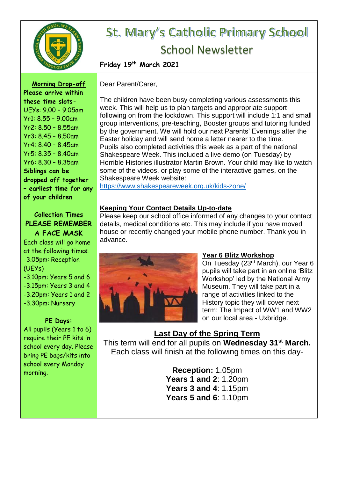

# St. Mary's Catholic Primary School School Newsletter

**Friday 19th March 2021**

**Morning Drop-off Please arrive within these time slots-**UEYs: 9.00 – 9.05am Yr1: 8.55 – 9.00am Yr2: 8.50 – 8.55am Yr3: 8.45 – 8.50am Yr4: 8.40 – 8.45am Yr5: 8.35 – 8.40am Yr6: 8.30 – 8.35am **Siblings can be dropped off together – earliest time for any of your children**

#### **Collection Times PLEASE REMEMBER A FACE MASK**

Each class will go home at the following times: -3.05pm: Reception (UEYs) -3.10pm: Years 5 and 6 -3.15pm: Years 3 and 4 -3.20pm: Years 1 and 2 -3.30pm: Nursery

#### **PE Days:**

All pupils (Years 1 to 6) require their PE kits in school every day. Please bring PE bags/kits into school every Monday morning.

Dear Parent/Carer,

The children have been busy completing various assessments this week. This will help us to plan targets and appropriate support following on from the lockdown. This support will include 1:1 and small group interventions, pre-teaching, Booster groups and tutoring funded by the government. We will hold our next Parents' Evenings after the Easter holiday and will send home a letter nearer to the time. Pupils also completed activities this week as a part of the national Shakespeare Week. This included a live demo (on Tuesday) by Horrible Histories illustrator Martin Brown. Your child may like to watch some of the videos, or play some of the interactive games, on the Shakespeare Week website:

<https://www.shakespeareweek.org.uk/kids-zone/>

### **Keeping Your Contact Details Up-to-date**

Please keep our school office informed of any changes to your contact details, medical conditions etc. This may include if you have moved house or recently changed your mobile phone number. Thank you in advance.



# **Year 6 Blitz Workshop**

On Tuesday (23<sup>rd</sup> March), our Year 6 pupils will take part in an online 'Blitz Workshop' led by the National Army Museum. They will take part in a range of activities linked to the History topic they will cover next term: The Impact of WW1 and WW2 on our local area - Uxbridge.

# **Last Day of the Spring Term**

This term will end for all pupils on **Wednesday 31st March.** Each class will finish at the following times on this day-

> **Reception:** 1.05pm **Years 1 and 2**: 1.20pm **Years 3 and 4**: 1.15pm **Years 5 and 6**: 1.10pm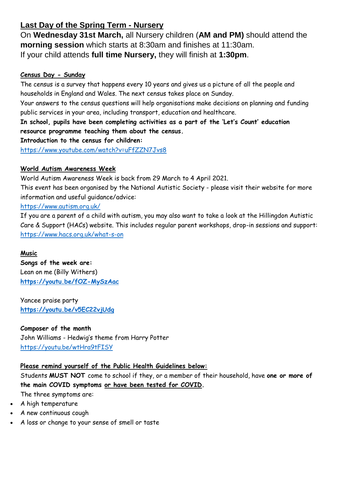# **Last Day of the Spring Term - Nursery**

On **Wednesday 31st March,** all Nursery children (**AM and PM)** should attend the **morning session** which starts at 8:30am and finishes at 11:30am. If your child attends **full time Nursery,** they will finish at **1:30pm**.

#### **Census Day - Sunday**

The census is a survey that happens every 10 years and gives us a picture of all the people and households in England and Wales. The next census takes place on Sunday.

Your answers to the census questions will help organisations make decisions on planning and funding public services in your area, including transport, education and healthcare.

**In school, pupils have been completing activities as a part of the 'Let's Count' education resource programme teaching them about the census.**

**Introduction to the census for children:**

<https://www.youtube.com/watch?v=uFfZZN7Jvs8>

#### **World Autism Awareness Week**

World Autism Awareness Week is back from 29 March to 4 April 2021.

This event has been organised by the National Autistic Society - please visit their website for more information and useful guidance/advice:

#### <https://www.autism.org.uk/>

If you are a parent of a child with autism, you may also want to take a look at the Hillingdon Autistic Care & Support (HACs) website. This includes regular parent workshops, drop-in sessions and support: <https://www.hacs.org.uk/what-s-on>

#### **Music**

**Songs of the week are:** Lean on me (Billy Withers) **<https://youtu.be/fOZ-MySzAac>**

Yancee praise party **<https://youtu.be/v5EC22vjUdg>**

**Composer of the month** John Williams - Hedwig's theme from Harry Potter <https://youtu.be/wtHra9tFISY>

#### **Please remind yourself of the Public Health Guidelines below:**

Students **MUST NOT** come to school if they, or a member of their household, have **one or more of the main COVID symptoms or have been tested for COVID.** The three symptoms are:

- A high temperature
- A new continuous cough
- A loss or change to your sense of smell or taste